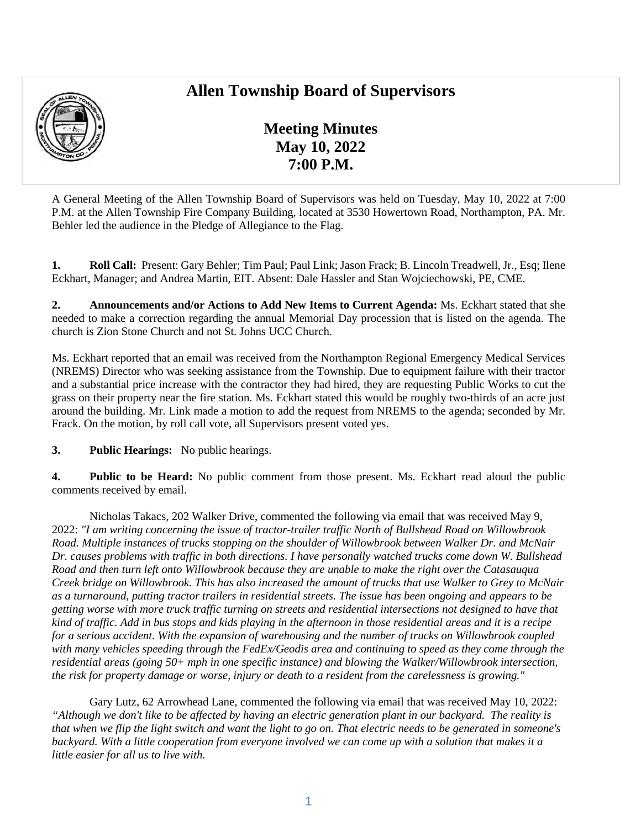# **Allen Township Board of Supervisors**



**Meeting Minutes May 10, 2022 7:00 P.M.** 

A General Meeting of the Allen Township Board of Supervisors was held on Tuesday, May 10, 2022 at 7:00 P.M. at the Allen Township Fire Company Building, located at 3530 Howertown Road, Northampton, PA. Mr. Behler led the audience in the Pledge of Allegiance to the Flag.

**1. Roll Call:** Present: Gary Behler; Tim Paul; Paul Link; Jason Frack; B. Lincoln Treadwell, Jr., Esq; Ilene Eckhart, Manager; and Andrea Martin, EIT. Absent: Dale Hassler and Stan Wojciechowski, PE, CME.

**2. Announcements and/or Actions to Add New Items to Current Agenda:** Ms. Eckhart stated that she needed to make a correction regarding the annual Memorial Day procession that is listed on the agenda. The church is Zion Stone Church and not St. Johns UCC Church.

Ms. Eckhart reported that an email was received from the Northampton Regional Emergency Medical Services (NREMS) Director who was seeking assistance from the Township. Due to equipment failure with their tractor and a substantial price increase with the contractor they had hired, they are requesting Public Works to cut the grass on their property near the fire station. Ms. Eckhart stated this would be roughly two-thirds of an acre just around the building. Mr. Link made a motion to add the request from NREMS to the agenda; seconded by Mr. Frack. On the motion, by roll call vote, all Supervisors present voted yes.

**3. Public Hearings:** No public hearings.

**4. Public to be Heard:** No public comment from those present. Ms. Eckhart read aloud the public comments received by email.

Nicholas Takacs, 202 Walker Drive, commented the following via email that was received May 9, 2022: *"I am writing concerning the issue of tractor-trailer traffic North of Bullshead Road on Willowbrook Road. Multiple instances of trucks stopping on the shoulder of Willowbrook between Walker Dr. and McNair Dr. causes problems with traffic in both directions. I have personally watched trucks come down W. Bullshead Road and then turn left onto Willowbrook because they are unable to make the right over the Catasauqua Creek bridge on Willowbrook. This has also increased the amount of trucks that use Walker to Grey to McNair as a turnaround, putting tractor trailers in residential streets. The issue has been ongoing and appears to be getting worse with more truck traffic turning on streets and residential intersections not designed to have that kind of traffic. Add in bus stops and kids playing in the afternoon in those residential areas and it is a recipe for a serious accident. With the expansion of warehousing and the number of trucks on Willowbrook coupled with many vehicles speeding through the FedEx/Geodis area and continuing to speed as they come through the residential areas (going 50+ mph in one specific instance) and blowing the Walker/Willowbrook intersection, the risk for property damage or worse, injury or death to a resident from the carelessness is growing."* 

Gary Lutz, 62 Arrowhead Lane, commented the following via email that was received May 10, 2022: *"Although we don't like to be affected by having an electric generation plant in our backyard. The reality is that when we flip the light switch and want the light to go on. That electric needs to be generated in someone's backyard. With a little cooperation from everyone involved we can come up with a solution that makes it a little easier for all us to live with.*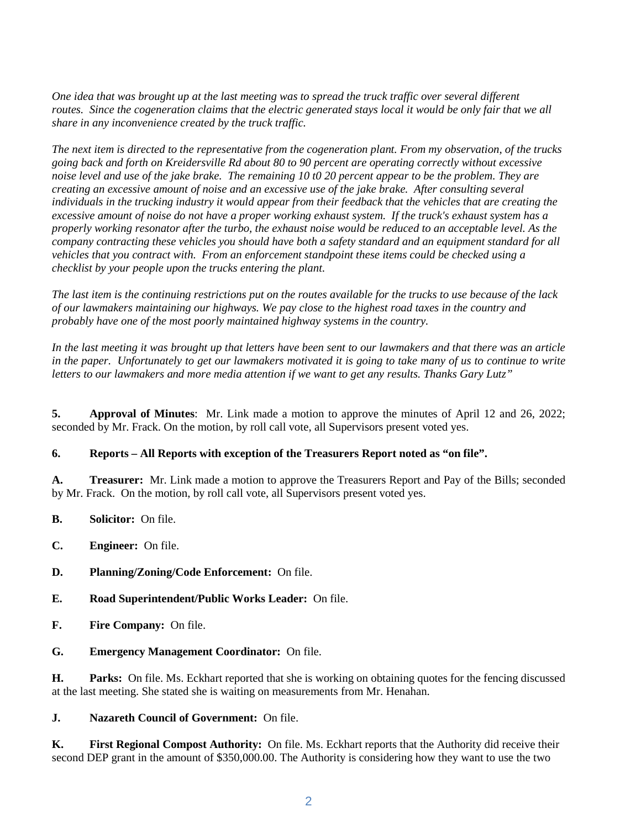*One idea that was brought up at the last meeting was to spread the truck traffic over several different routes. Since the cogeneration claims that the electric generated stays local it would be only fair that we all share in any inconvenience created by the truck traffic.* 

*The next item is directed to the representative from the cogeneration plant. From my observation, of the trucks going back and forth on Kreidersville Rd about 80 to 90 percent are operating correctly without excessive noise level and use of the jake brake. The remaining 10 t0 20 percent appear to be the problem. They are creating an excessive amount of noise and an excessive use of the jake brake. After consulting several individuals in the trucking industry it would appear from their feedback that the vehicles that are creating the excessive amount of noise do not have a proper working exhaust system. If the truck's exhaust system has a properly working resonator after the turbo, the exhaust noise would be reduced to an acceptable level. As the company contracting these vehicles you should have both a safety standard and an equipment standard for all vehicles that you contract with. From an enforcement standpoint these items could be checked using a checklist by your people upon the trucks entering the plant.* 

*The last item is the continuing restrictions put on the routes available for the trucks to use because of the lack of our lawmakers maintaining our highways. We pay close to the highest road taxes in the country and probably have one of the most poorly maintained highway systems in the country.* 

*In the last meeting it was brought up that letters have been sent to our lawmakers and that there was an article in the paper. Unfortunately to get our lawmakers motivated it is going to take many of us to continue to write letters to our lawmakers and more media attention if we want to get any results. Thanks Gary Lutz"* 

**5. Approval of Minutes**: Mr. Link made a motion to approve the minutes of April 12 and 26, 2022; seconded by Mr. Frack. On the motion, by roll call vote, all Supervisors present voted yes.

## **6. Reports – All Reports with exception of the Treasurers Report noted as "on file".**

**A. Treasurer:** Mr. Link made a motion to approve the Treasurers Report and Pay of the Bills; seconded by Mr. Frack. On the motion, by roll call vote, all Supervisors present voted yes.

- **B. Solicitor:** On file.
- **C. Engineer:** On file.
- **D. Planning/Zoning/Code Enforcement:** On file.
- **E. Road Superintendent/Public Works Leader:** On file.
- **F. Fire Company:** On file.
- **G. Emergency Management Coordinator:** On file.

**H. Parks:** On file. Ms. Eckhart reported that she is working on obtaining quotes for the fencing discussed at the last meeting. She stated she is waiting on measurements from Mr. Henahan.

**J. Nazareth Council of Government:** On file.

**K. First Regional Compost Authority:** On file. Ms. Eckhart reports that the Authority did receive their second DEP grant in the amount of \$350,000.00. The Authority is considering how they want to use the two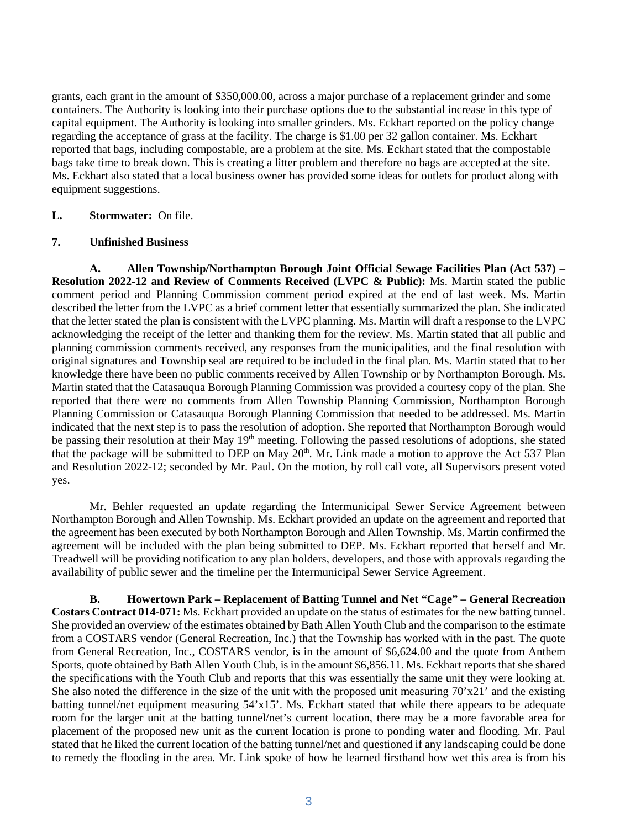grants, each grant in the amount of \$350,000.00, across a major purchase of a replacement grinder and some containers. The Authority is looking into their purchase options due to the substantial increase in this type of capital equipment. The Authority is looking into smaller grinders. Ms. Eckhart reported on the policy change regarding the acceptance of grass at the facility. The charge is \$1.00 per 32 gallon container. Ms. Eckhart reported that bags, including compostable, are a problem at the site. Ms. Eckhart stated that the compostable bags take time to break down. This is creating a litter problem and therefore no bags are accepted at the site. Ms. Eckhart also stated that a local business owner has provided some ideas for outlets for product along with equipment suggestions.

## **L. Stormwater:** On file.

#### **7. Unfinished Business**

**A. Allen Township/Northampton Borough Joint Official Sewage Facilities Plan (Act 537) – Resolution 2022-12 and Review of Comments Received (LVPC & Public):** Ms. Martin stated the public comment period and Planning Commission comment period expired at the end of last week. Ms. Martin described the letter from the LVPC as a brief comment letter that essentially summarized the plan. She indicated that the letter stated the plan is consistent with the LVPC planning. Ms. Martin will draft a response to the LVPC acknowledging the receipt of the letter and thanking them for the review. Ms. Martin stated that all public and planning commission comments received, any responses from the municipalities, and the final resolution with original signatures and Township seal are required to be included in the final plan. Ms. Martin stated that to her knowledge there have been no public comments received by Allen Township or by Northampton Borough. Ms. Martin stated that the Catasauqua Borough Planning Commission was provided a courtesy copy of the plan. She reported that there were no comments from Allen Township Planning Commission, Northampton Borough Planning Commission or Catasauqua Borough Planning Commission that needed to be addressed. Ms. Martin indicated that the next step is to pass the resolution of adoption. She reported that Northampton Borough would be passing their resolution at their May 19<sup>th</sup> meeting. Following the passed resolutions of adoptions, she stated that the package will be submitted to DEP on May  $20<sup>th</sup>$ . Mr. Link made a motion to approve the Act 537 Plan and Resolution 2022-12; seconded by Mr. Paul. On the motion, by roll call vote, all Supervisors present voted yes.

Mr. Behler requested an update regarding the Intermunicipal Sewer Service Agreement between Northampton Borough and Allen Township. Ms. Eckhart provided an update on the agreement and reported that the agreement has been executed by both Northampton Borough and Allen Township. Ms. Martin confirmed the agreement will be included with the plan being submitted to DEP. Ms. Eckhart reported that herself and Mr. Treadwell will be providing notification to any plan holders, developers, and those with approvals regarding the availability of public sewer and the timeline per the Intermunicipal Sewer Service Agreement.

**B. Howertown Park – Replacement of Batting Tunnel and Net "Cage" – General Recreation Costars Contract 014-071:** Ms. Eckhart provided an update on the status of estimates for the new batting tunnel. She provided an overview of the estimates obtained by Bath Allen Youth Club and the comparison to the estimate from a COSTARS vendor (General Recreation, Inc.) that the Township has worked with in the past. The quote from General Recreation, Inc., COSTARS vendor, is in the amount of \$6,624.00 and the quote from Anthem Sports, quote obtained by Bath Allen Youth Club, is in the amount \$6,856.11. Ms. Eckhart reports that she shared the specifications with the Youth Club and reports that this was essentially the same unit they were looking at. She also noted the difference in the size of the unit with the proposed unit measuring 70'x21' and the existing batting tunnel/net equipment measuring 54'x15'. Ms. Eckhart stated that while there appears to be adequate room for the larger unit at the batting tunnel/net's current location, there may be a more favorable area for placement of the proposed new unit as the current location is prone to ponding water and flooding. Mr. Paul stated that he liked the current location of the batting tunnel/net and questioned if any landscaping could be done to remedy the flooding in the area. Mr. Link spoke of how he learned firsthand how wet this area is from his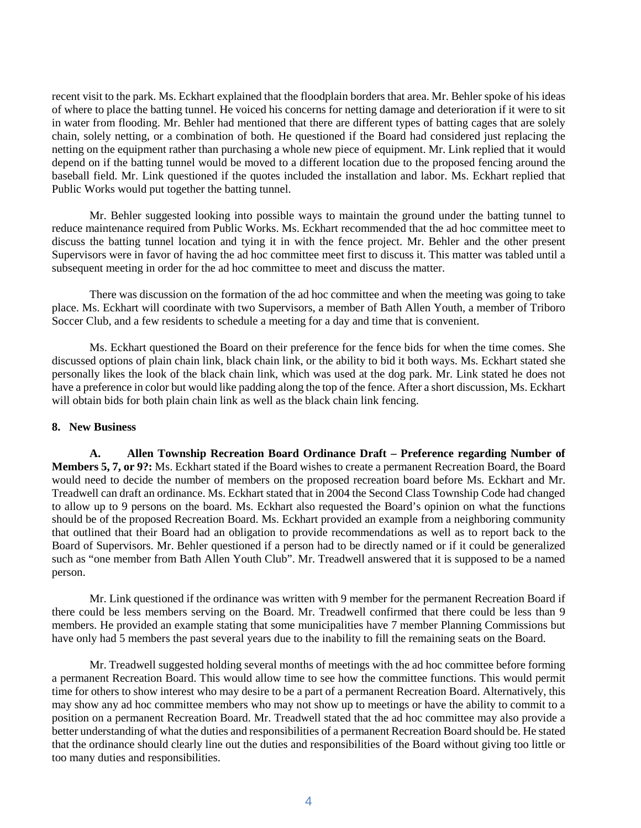recent visit to the park. Ms. Eckhart explained that the floodplain borders that area. Mr. Behler spoke of his ideas of where to place the batting tunnel. He voiced his concerns for netting damage and deterioration if it were to sit in water from flooding. Mr. Behler had mentioned that there are different types of batting cages that are solely chain, solely netting, or a combination of both. He questioned if the Board had considered just replacing the netting on the equipment rather than purchasing a whole new piece of equipment. Mr. Link replied that it would depend on if the batting tunnel would be moved to a different location due to the proposed fencing around the baseball field. Mr. Link questioned if the quotes included the installation and labor. Ms. Eckhart replied that Public Works would put together the batting tunnel.

Mr. Behler suggested looking into possible ways to maintain the ground under the batting tunnel to reduce maintenance required from Public Works. Ms. Eckhart recommended that the ad hoc committee meet to discuss the batting tunnel location and tying it in with the fence project. Mr. Behler and the other present Supervisors were in favor of having the ad hoc committee meet first to discuss it. This matter was tabled until a subsequent meeting in order for the ad hoc committee to meet and discuss the matter.

There was discussion on the formation of the ad hoc committee and when the meeting was going to take place. Ms. Eckhart will coordinate with two Supervisors, a member of Bath Allen Youth, a member of Triboro Soccer Club, and a few residents to schedule a meeting for a day and time that is convenient.

Ms. Eckhart questioned the Board on their preference for the fence bids for when the time comes. She discussed options of plain chain link, black chain link, or the ability to bid it both ways. Ms. Eckhart stated she personally likes the look of the black chain link, which was used at the dog park. Mr. Link stated he does not have a preference in color but would like padding along the top of the fence. After a short discussion, Ms. Eckhart will obtain bids for both plain chain link as well as the black chain link fencing.

#### **8. New Business**

**A. Allen Township Recreation Board Ordinance Draft – Preference regarding Number of Members 5, 7, or 9?:** Ms. Eckhart stated if the Board wishes to create a permanent Recreation Board, the Board would need to decide the number of members on the proposed recreation board before Ms. Eckhart and Mr. Treadwell can draft an ordinance. Ms. Eckhart stated that in 2004 the Second Class Township Code had changed to allow up to 9 persons on the board. Ms. Eckhart also requested the Board's opinion on what the functions should be of the proposed Recreation Board. Ms. Eckhart provided an example from a neighboring community that outlined that their Board had an obligation to provide recommendations as well as to report back to the Board of Supervisors. Mr. Behler questioned if a person had to be directly named or if it could be generalized such as "one member from Bath Allen Youth Club". Mr. Treadwell answered that it is supposed to be a named person.

Mr. Link questioned if the ordinance was written with 9 member for the permanent Recreation Board if there could be less members serving on the Board. Mr. Treadwell confirmed that there could be less than 9 members. He provided an example stating that some municipalities have 7 member Planning Commissions but have only had 5 members the past several years due to the inability to fill the remaining seats on the Board.

Mr. Treadwell suggested holding several months of meetings with the ad hoc committee before forming a permanent Recreation Board. This would allow time to see how the committee functions. This would permit time for others to show interest who may desire to be a part of a permanent Recreation Board. Alternatively, this may show any ad hoc committee members who may not show up to meetings or have the ability to commit to a position on a permanent Recreation Board. Mr. Treadwell stated that the ad hoc committee may also provide a better understanding of what the duties and responsibilities of a permanent Recreation Board should be. He stated that the ordinance should clearly line out the duties and responsibilities of the Board without giving too little or too many duties and responsibilities.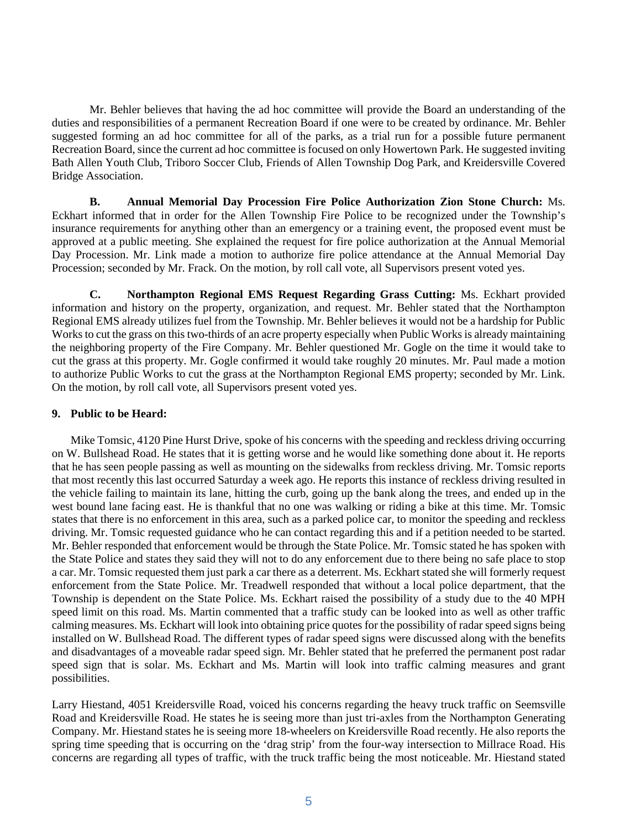Mr. Behler believes that having the ad hoc committee will provide the Board an understanding of the duties and responsibilities of a permanent Recreation Board if one were to be created by ordinance. Mr. Behler suggested forming an ad hoc committee for all of the parks, as a trial run for a possible future permanent Recreation Board, since the current ad hoc committee is focused on only Howertown Park. He suggested inviting Bath Allen Youth Club, Triboro Soccer Club, Friends of Allen Township Dog Park, and Kreidersville Covered Bridge Association.

**B. Annual Memorial Day Procession Fire Police Authorization Zion Stone Church:** Ms. Eckhart informed that in order for the Allen Township Fire Police to be recognized under the Township's insurance requirements for anything other than an emergency or a training event, the proposed event must be approved at a public meeting. She explained the request for fire police authorization at the Annual Memorial Day Procession. Mr. Link made a motion to authorize fire police attendance at the Annual Memorial Day Procession; seconded by Mr. Frack. On the motion, by roll call vote, all Supervisors present voted yes.

**C. Northampton Regional EMS Request Regarding Grass Cutting:** Ms. Eckhart provided information and history on the property, organization, and request. Mr. Behler stated that the Northampton Regional EMS already utilizes fuel from the Township. Mr. Behler believes it would not be a hardship for Public Works to cut the grass on this two-thirds of an acre property especially when Public Works is already maintaining the neighboring property of the Fire Company. Mr. Behler questioned Mr. Gogle on the time it would take to cut the grass at this property. Mr. Gogle confirmed it would take roughly 20 minutes. Mr. Paul made a motion to authorize Public Works to cut the grass at the Northampton Regional EMS property; seconded by Mr. Link. On the motion, by roll call vote, all Supervisors present voted yes.

### **9. Public to be Heard:**

 Mike Tomsic, 4120 Pine Hurst Drive, spoke of his concerns with the speeding and reckless driving occurring on W. Bullshead Road. He states that it is getting worse and he would like something done about it. He reports that he has seen people passing as well as mounting on the sidewalks from reckless driving. Mr. Tomsic reports that most recently this last occurred Saturday a week ago. He reports this instance of reckless driving resulted in the vehicle failing to maintain its lane, hitting the curb, going up the bank along the trees, and ended up in the west bound lane facing east. He is thankful that no one was walking or riding a bike at this time. Mr. Tomsic states that there is no enforcement in this area, such as a parked police car, to monitor the speeding and reckless driving. Mr. Tomsic requested guidance who he can contact regarding this and if a petition needed to be started. Mr. Behler responded that enforcement would be through the State Police. Mr. Tomsic stated he has spoken with the State Police and states they said they will not to do any enforcement due to there being no safe place to stop a car. Mr. Tomsic requested them just park a car there as a deterrent. Ms. Eckhart stated she will formerly request enforcement from the State Police. Mr. Treadwell responded that without a local police department, that the Township is dependent on the State Police. Ms. Eckhart raised the possibility of a study due to the 40 MPH speed limit on this road. Ms. Martin commented that a traffic study can be looked into as well as other traffic calming measures. Ms. Eckhart will look into obtaining price quotes for the possibility of radar speed signs being installed on W. Bullshead Road. The different types of radar speed signs were discussed along with the benefits and disadvantages of a moveable radar speed sign. Mr. Behler stated that he preferred the permanent post radar speed sign that is solar. Ms. Eckhart and Ms. Martin will look into traffic calming measures and grant possibilities.

Larry Hiestand, 4051 Kreidersville Road, voiced his concerns regarding the heavy truck traffic on Seemsville Road and Kreidersville Road. He states he is seeing more than just tri-axles from the Northampton Generating Company. Mr. Hiestand states he is seeing more 18-wheelers on Kreidersville Road recently. He also reports the spring time speeding that is occurring on the 'drag strip' from the four-way intersection to Millrace Road. His concerns are regarding all types of traffic, with the truck traffic being the most noticeable. Mr. Hiestand stated